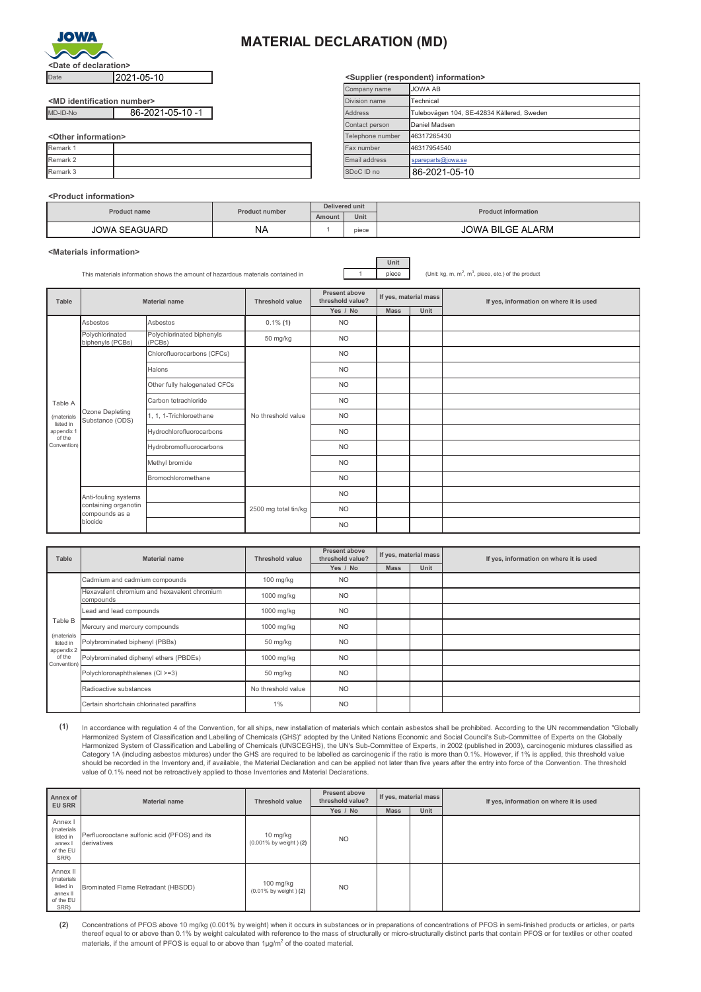

## **MATERIAL DECLARATION (MD)**

| <md identification="" number=""></md> |                  |
|---------------------------------------|------------------|
| MD-ID-No                              | 86-2021-05-10 -1 |

| $\sim$ uitel illiolillauvil $\sim$ |  |               |               |
|------------------------------------|--|---------------|---------------|
| Remark 1                           |  | Fax number    | 46317954540   |
| Remark 2                           |  | Email address | spareparts@id |
| Remark 3                           |  | SDoC ID no    | 86-2021-      |

#### **<Product information>**

| Date                                  | 2021-05-10       |                       |                | <supplier (respondent)="" information=""></supplier> |                         |                                            |  |
|---------------------------------------|------------------|-----------------------|----------------|------------------------------------------------------|-------------------------|--------------------------------------------|--|
|                                       |                  |                       |                | Company name                                         |                         | <b>JOWA AB</b>                             |  |
| <md identification="" number=""></md> |                  |                       |                | Division name                                        |                         | Technical                                  |  |
| MD-ID-No                              | 86-2021-05-10 -1 |                       |                | <b>Address</b>                                       |                         | Tulebovägen 104, SE-42834 Kållered, Sweden |  |
|                                       |                  |                       |                | Contact person                                       |                         | Daniel Madsen                              |  |
| <other information=""></other>        |                  |                       |                | Telephone number                                     |                         | 46317265430                                |  |
| Remark 1                              |                  |                       |                | Fax number                                           |                         | 46317954540                                |  |
| Remark 2                              |                  |                       | Email address  |                                                      |                         | spareparts@jowa.se                         |  |
| Remark 3                              |                  |                       |                | SDoC ID no                                           |                         | 86-2021-05-10                              |  |
| <product information=""></product>    |                  |                       |                |                                                      |                         |                                            |  |
| <b>Product name</b>                   |                  | <b>Product number</b> | Delivered unit |                                                      |                         | <b>Product information</b>                 |  |
|                                       |                  |                       | Amount         | Unit                                                 |                         |                                            |  |
|                                       | JOWA SEAGUARD    | <b>NA</b>             |                | piece                                                | <b>JOWA BILGE ALARM</b> |                                            |  |

### **<Materials information>**

This materials information shows the amount of hazardous materials contained in 1 piece

**Unit**

**<Supplier (respondent) information>**

 $, m<sup>3</sup>$ , piece, etc.) of the product

| Table                   | <b>Material name</b>                                                      |                                     | <b>Threshold value</b> | Present above<br>threshold value? | If yes, material mass |      | If yes, information on where it is used |  |
|-------------------------|---------------------------------------------------------------------------|-------------------------------------|------------------------|-----------------------------------|-----------------------|------|-----------------------------------------|--|
|                         |                                                                           |                                     |                        | Yes / No                          | <b>Mass</b>           | Unit |                                         |  |
|                         | Asbestos                                                                  | Asbestos                            | $0.1\%$ (1)            | <b>NO</b>                         |                       |      |                                         |  |
|                         | Polychlorinated<br>biphenyls (PCBs)                                       | Polychlorinated biphenyls<br>(PCBs) | 50 mg/kg               | <b>NO</b>                         |                       |      |                                         |  |
|                         |                                                                           | Chlorofluorocarbons (CFCs)          |                        | <b>NO</b>                         |                       |      |                                         |  |
|                         |                                                                           | Halons                              |                        | <b>NO</b>                         |                       |      |                                         |  |
|                         | Ozone Depleting<br>Substance (ODS)                                        | Other fully halogenated CFCs        | No threshold value     | <b>NO</b>                         |                       |      |                                         |  |
| Table A                 |                                                                           | Carbon tetrachloride                |                        | <b>NO</b>                         |                       |      |                                         |  |
| (materials<br>listed in |                                                                           | 1, 1, 1-Trichloroethane             |                        | <b>NO</b>                         |                       |      |                                         |  |
| appendix 1<br>of the    |                                                                           | Hydrochlorofluorocarbons            |                        | <b>NO</b>                         |                       |      |                                         |  |
| Convention)             |                                                                           | Hydrobromofluorocarbons             |                        | <b>NO</b>                         |                       |      |                                         |  |
|                         |                                                                           | Methyl bromide                      |                        | <b>NO</b>                         |                       |      |                                         |  |
|                         |                                                                           | Bromochloromethane                  |                        | <b>NO</b>                         |                       |      |                                         |  |
|                         | Anti-fouling systems<br>containing organotin<br>compounds as a<br>biocide |                                     |                        | <b>NO</b>                         |                       |      |                                         |  |
|                         |                                                                           |                                     | 2500 mg total tin/kg   | <b>NO</b>                         |                       |      |                                         |  |
|                         |                                                                           |                                     |                        | <b>NO</b>                         |                       |      |                                         |  |

| Table                                 | Material name                                            | Threshold value    | Present above<br>threshold value? | If yes, material mass |      | If yes, information on where it is used |  |
|---------------------------------------|----------------------------------------------------------|--------------------|-----------------------------------|-----------------------|------|-----------------------------------------|--|
|                                       |                                                          |                    | Yes / No                          | <b>Mass</b>           | Unit |                                         |  |
|                                       | Cadmium and cadmium compounds                            | 100 mg/kg          | <b>NO</b>                         |                       |      |                                         |  |
|                                       | Hexavalent chromium and hexavalent chromium<br>compounds | 1000 mg/kg         | N <sub>O</sub>                    |                       |      |                                         |  |
|                                       | Lead and lead compounds                                  | 1000 mg/kg         | N <sub>O</sub>                    |                       |      |                                         |  |
| Table B                               | Mercury and mercury compounds                            | 1000 mg/kg         | N <sub>O</sub>                    |                       |      |                                         |  |
| (materials<br>listed in<br>appendix 2 | Polybrominated biphenyl (PBBs)                           | 50 mg/kg           | N <sub>O</sub>                    |                       |      |                                         |  |
| of the<br>Convention)                 | Polybrominated diphenyl ethers (PBDEs)                   | 1000 mg/kg         | N <sub>O</sub>                    |                       |      |                                         |  |
|                                       | Polychloronaphthalenes (CI >=3)                          | 50 mg/kg           | N <sub>O</sub>                    |                       |      |                                         |  |
|                                       | Radioactive substances                                   | No threshold value | <b>NO</b>                         |                       |      |                                         |  |
|                                       | Certain shortchain chlorinated paraffins                 | 1%                 | N <sub>O</sub>                    |                       |      |                                         |  |

**(1)** In accordance with regulation 4 of the Convention, for all ships, new installation of materials which contain asbestos shall be prohibited. According to the UN recommendation "Globally Harmonized System of Classification and Labelling of Chemicals (GHS)" adopted by the United Nations Economic and Social Council's Sub-Committee of Experts on the Globally<br>Harmonized System of Classification and Labelling o should be recorded in the Inventory and, if available, the Material Declaration and can be applied not later than five years after the entry into force of the Convention. The threshold value of 0.1% need not be retroactively applied to those Inventories and Material Declarations.

| Annex of<br><b>EU SRR</b>                                            | <b>Material name</b>                                        | <b>Threshold value</b>               | Present above<br>threshold value? | If yes, material mass |      | If yes, information on where it is used |  |
|----------------------------------------------------------------------|-------------------------------------------------------------|--------------------------------------|-----------------------------------|-----------------------|------|-----------------------------------------|--|
|                                                                      |                                                             |                                      | Yes / No                          | <b>Mass</b>           | Unit |                                         |  |
| Annex I<br>(materials<br>listed in<br>annex I<br>of the EU<br>SRR)   | Perfluorooctane sulfonic acid (PFOS) and its<br>derivatives | 10 mg/kg<br>(0.001% by weight) (2)   | N <sub>O</sub>                    |                       |      |                                         |  |
| Annex II<br>(materials<br>listed in<br>annex II<br>of the EU<br>SRR) | Brominated Flame Retradant (HBSDD)                          | $100$ mg/kg<br>(0.01% by weight) (2) | N <sub>O</sub>                    |                       |      |                                         |  |

**(2)** Concentrations of PFOS above 10 mg/kg (0.001% by weight) when it occurs in substances or in preparations of concentrations of PFOS in semi-finished products or articles, or parts thereof equal to or above than 0.1% by weight calculated with reference to the mass of structurally or micro-structurally distinct parts that contain PFOS or for textiles or other coated materials, if the amount of PFOS is equal to or above than 1 $\mu$ g/m<sup>2</sup> of the coated material.